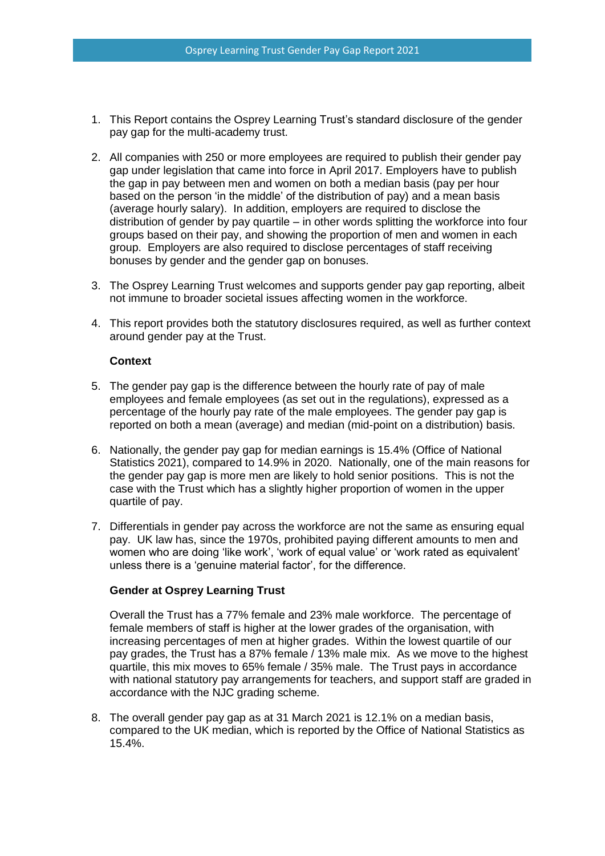- 1. This Report contains the Osprey Learning Trust's standard disclosure of the gender pay gap for the multi-academy trust.
- 2. All companies with 250 or more employees are required to publish their gender pay gap under legislation that came into force in April 2017. Employers have to publish the gap in pay between men and women on both a median basis (pay per hour based on the person 'in the middle' of the distribution of pay) and a mean basis (average hourly salary). In addition, employers are required to disclose the distribution of gender by pay quartile – in other words splitting the workforce into four groups based on their pay, and showing the proportion of men and women in each group. Employers are also required to disclose percentages of staff receiving bonuses by gender and the gender gap on bonuses.
- 3. The Osprey Learning Trust welcomes and supports gender pay gap reporting, albeit not immune to broader societal issues affecting women in the workforce.
- 4. This report provides both the statutory disclosures required, as well as further context around gender pay at the Trust.

## **Context**

- 5. The gender pay gap is the difference between the hourly rate of pay of male employees and female employees (as set out in the regulations), expressed as a percentage of the hourly pay rate of the male employees. The gender pay gap is reported on both a mean (average) and median (mid-point on a distribution) basis.
- 6. Nationally, the gender pay gap for median earnings is 15.4% (Office of National Statistics 2021), compared to 14.9% in 2020. Nationally, one of the main reasons for the gender pay gap is more men are likely to hold senior positions. This is not the case with the Trust which has a slightly higher proportion of women in the upper quartile of pay.
- 7. Differentials in gender pay across the workforce are not the same as ensuring equal pay. UK law has, since the 1970s, prohibited paying different amounts to men and women who are doing 'like work', 'work of equal value' or 'work rated as equivalent' unless there is a 'genuine material factor', for the difference.

# **Gender at Osprey Learning Trust**

Overall the Trust has a 77% female and 23% male workforce. The percentage of female members of staff is higher at the lower grades of the organisation, with increasing percentages of men at higher grades. Within the lowest quartile of our pay grades, the Trust has a 87% female / 13% male mix. As we move to the highest quartile, this mix moves to 65% female / 35% male. The Trust pays in accordance with national statutory pay arrangements for teachers, and support staff are graded in accordance with the NJC grading scheme.

8. The overall gender pay gap as at 31 March 2021 is 12.1% on a median basis, compared to the UK median, which is reported by the Office of National Statistics as 15.4%.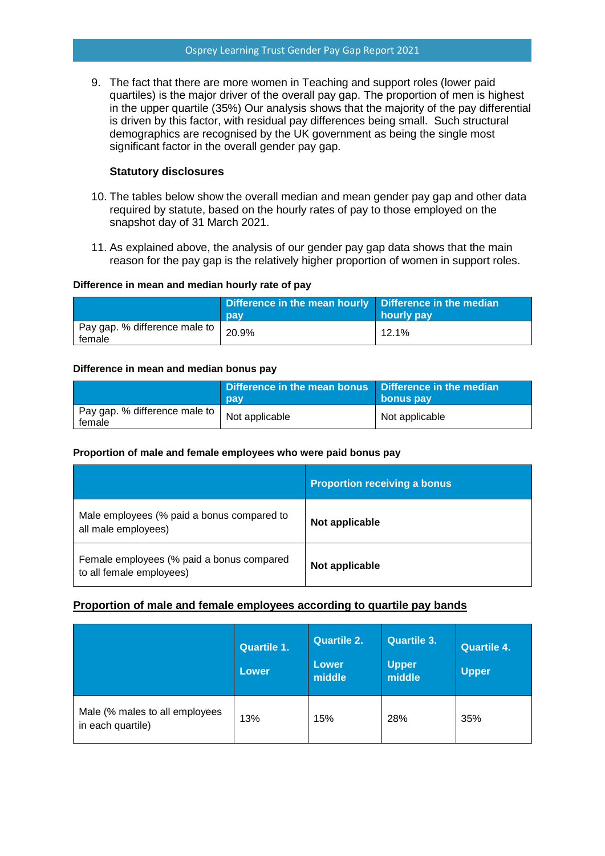9. The fact that there are more women in Teaching and support roles (lower paid quartiles) is the major driver of the overall pay gap. The proportion of men is highest in the upper quartile (35%) Our analysis shows that the majority of the pay differential is driven by this factor, with residual pay differences being small. Such structural demographics are recognised by the UK government as being the single most significant factor in the overall gender pay gap.

## **Statutory disclosures**

- 10. The tables below show the overall median and mean gender pay gap and other data required by statute, based on the hourly rates of pay to those employed on the snapshot day of 31 March 2021.
- 11. As explained above, the analysis of our gender pay gap data shows that the main reason for the pay gap is the relatively higher proportion of women in support roles.

## **Difference in mean and median hourly rate of pay**

|                                           | Difference in the mean hourly   Difference in the median<br>pay | hourly pay |
|-------------------------------------------|-----------------------------------------------------------------|------------|
| Pay gap. % difference male to  <br>female | 20.9%                                                           | $12.1\%$   |

#### **Difference in mean and median bonus pay**

|                                           | Difference in the mean bonus   Difference in the median<br>pay | bonus pay      |
|-------------------------------------------|----------------------------------------------------------------|----------------|
| Pay gap. % difference male to  <br>female | Not applicable                                                 | Not applicable |

## **Proportion of male and female employees who were paid bonus pay**

|                                                                       | <b>Proportion receiving a bonus</b> |
|-----------------------------------------------------------------------|-------------------------------------|
| Male employees (% paid a bonus compared to<br>all male employees)     | Not applicable                      |
| Female employees (% paid a bonus compared<br>to all female employees) | Not applicable                      |

## **Proportion of male and female employees according to quartile pay bands**

|                                                     | <b>Quartile 1.</b><br><b>Lower</b> | <b>Quartile 2.</b><br>Lower<br>middle | <b>Quartile 3.</b><br><b>Upper</b><br>middle | <b>Quartile 4.</b><br><b>Upper</b> |
|-----------------------------------------------------|------------------------------------|---------------------------------------|----------------------------------------------|------------------------------------|
| Male (% males to all employees<br>in each quartile) | 13%                                | 15%                                   | 28%                                          | 35%                                |